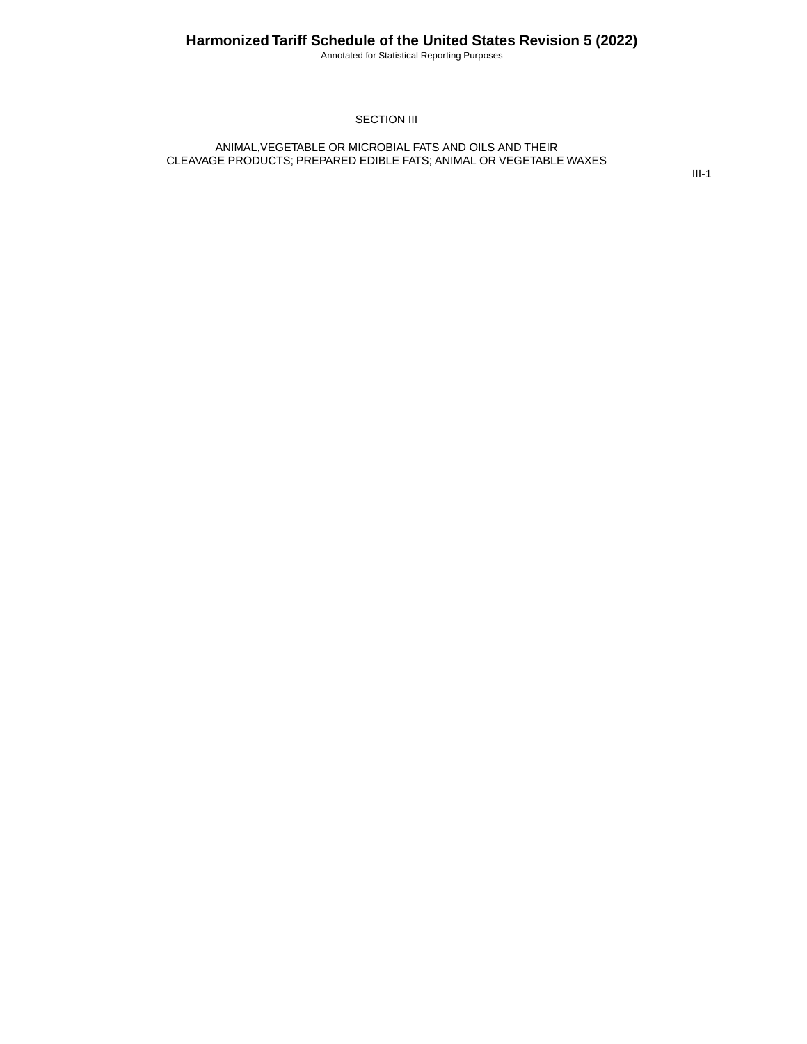Annotated for Statistical Reporting Purposes

### SECTION III

#### ANIMAL,VEGETABLE OR MICROBIAL FATS AND OILS AND THEIR CLEAVAGE PRODUCTS; PREPARED EDIBLE FATS; ANIMAL OR VEGETABLE WAXES

III-1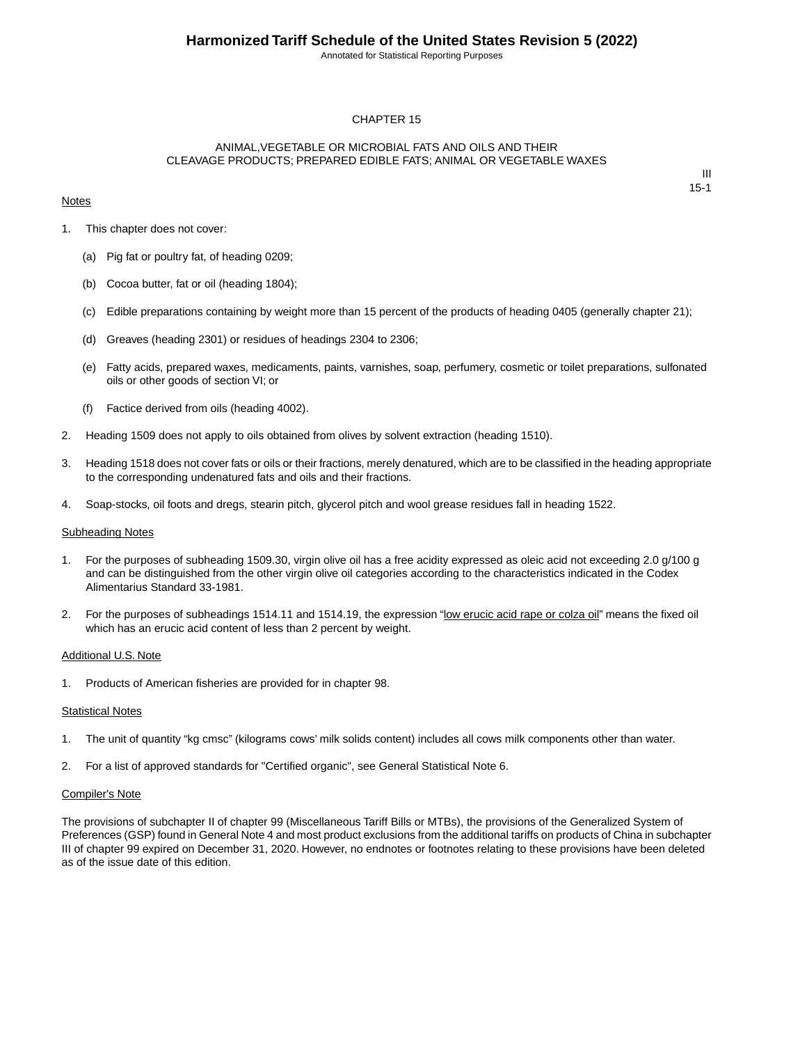Annotated for Statistical Reporting Purposes

#### CHAPTER 15

#### ANIMAL,VEGETABLE OR MICROBIAL FATS AND OILS AND THEIR CLEAVAGE PRODUCTS; PREPARED EDIBLE FATS; ANIMAL OR VEGETABLE WAXES

#### **Notes**

III 15-1

- 1. This chapter does not cover:
	- (a) Pig fat or poultry fat, of heading 0209;
	- (b) Cocoa butter, fat or oil (heading 1804);
	- (c) Edible preparations containing by weight more than 15 percent of the products of heading 0405 (generally chapter 21);
	- (d) Greaves (heading 2301) or residues of headings 2304 to 2306;
	- (e) Fatty acids, prepared waxes, medicaments, paints, varnishes, soap, perfumery, cosmetic or toilet preparations, sulfonated oils or other goods of section VI; or
	- (f) Factice derived from oils (heading 4002).
- 2. Heading 1509 does not apply to oils obtained from olives by solvent extraction (heading 1510).
- 3. Heading 1518 does not cover fats or oils or their fractions, merely denatured, which are to be classified in the heading appropriate to the corresponding undenatured fats and oils and their fractions.
- 4. Soap-stocks, oil foots and dregs, stearin pitch, glycerol pitch and wool grease residues fall in heading 1522.

#### Subheading Notes

- 1. For the purposes of subheading 1509.30, virgin olive oil has a free acidity expressed as oleic acid not exceeding 2.0 g/100 g and can be distinguished from the other virgin olive oil categories according to the characteristics indicated in the Codex Alimentarius Standard 33-1981.
- 2. For the purposes of subheadings 1514.11 and 1514.19, the expression "low erucic acid rape or colza oil" means the fixed oil which has an erucic acid content of less than 2 percent by weight.

#### Additional U.S. Note

1. Products of American fisheries are provided for in chapter 98.

#### **Statistical Notes**

- 1. The unit of quantity "kg cmsc" (kilograms cows' milk solids content) includes all cows milk components other than water.
- 2. For a list of approved standards for "Certified organic", see General Statistical Note 6.

#### Compiler's Note

The provisions of subchapter II of chapter 99 (Miscellaneous Tariff Bills or MTBs), the provisions of the Generalized System of Preferences (GSP) found in General Note 4 and most product exclusions from the additional tariffs on products of China in subchapter III of chapter 99 expired on December 31, 2020. However, no endnotes or footnotes relating to these provisions have been deleted as of the issue date of this edition.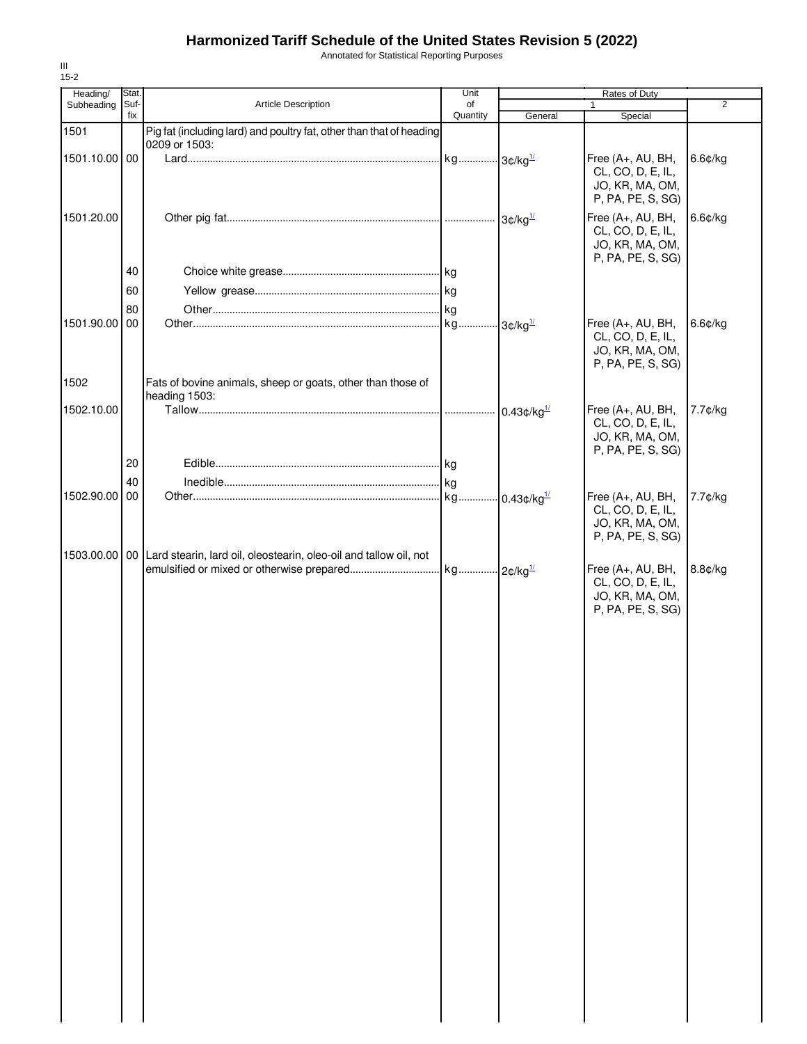Annotated for Statistical Reporting Purposes

| Heading/      | Stat.       |                                                                                     | Unit           |                                    | Rates of Duty                                                                  |            |
|---------------|-------------|-------------------------------------------------------------------------------------|----------------|------------------------------------|--------------------------------------------------------------------------------|------------|
| Subheading    | Suf-<br>fix | Article Description                                                                 | of<br>Quantity | General                            | $\mathbf{1}$<br>Special                                                        | 2          |
| 1501          |             | Pig fat (including lard) and poultry fat, other than that of heading                |                |                                    |                                                                                |            |
|               |             | 0209 or 1503:                                                                       |                |                                    |                                                                                |            |
| 1501.10.00 00 |             |                                                                                     |                |                                    | Free (A+, AU, BH,<br>CL, CO, D, E, IL,<br>JO, KR, MA, OM,<br>P, PA, PE, S, SG) | $6.6$ ¢/kg |
| 1501.20.00    |             |                                                                                     |                | $3¢/ka$ <sup><math>1/</math></sup> | Free (A+, AU, BH,<br>CL, CO, D, E, IL,<br>JO, KR, MA, OM,<br>P, PA, PE, S, SG) | 6.6¢/kg    |
|               | 40          |                                                                                     |                |                                    |                                                                                |            |
|               | 60          |                                                                                     |                |                                    |                                                                                |            |
|               | 80          |                                                                                     |                |                                    |                                                                                |            |
| 1501.90.00    | 00          |                                                                                     |                |                                    | Free (A+, AU, BH,<br>CL, CO, D, E, IL,<br>JO, KR, MA, OM,<br>P, PA, PE, S, SG) | $6.6$ ¢/kg |
| 1502          |             | Fats of bovine animals, sheep or goats, other than those of<br>heading 1503:        |                |                                    |                                                                                |            |
| 1502.10.00    |             |                                                                                     |                | $0.43$ ¢/kg $^{1/2}$               | Free (A+, AU, BH,<br>CL, CO, D, E, IL,<br>JO, KR, MA, OM,<br>P, PA, PE, S, SG) | 7.7¢/kg    |
|               | 20          |                                                                                     |                |                                    |                                                                                |            |
|               | 40          |                                                                                     |                |                                    |                                                                                |            |
| 1502.90.00    | 00          | 1503.00.00   00   Lard stearin, lard oil, oleostearin, oleo-oil and tallow oil, not |                |                                    | Free (A+, AU, BH,<br>CL, CO, D, E, IL,<br>JO, KR, MA, OM,<br>P, PA, PE, S, SG) | 7.7¢/kg    |
|               |             |                                                                                     |                |                                    | Free (A+, AU, BH,<br>CL, CO, D, E, IL,<br>JO, KR, MA, OM,<br>P, PA, PE, S, SG) | 8.8¢/kg    |
|               |             |                                                                                     |                |                                    |                                                                                |            |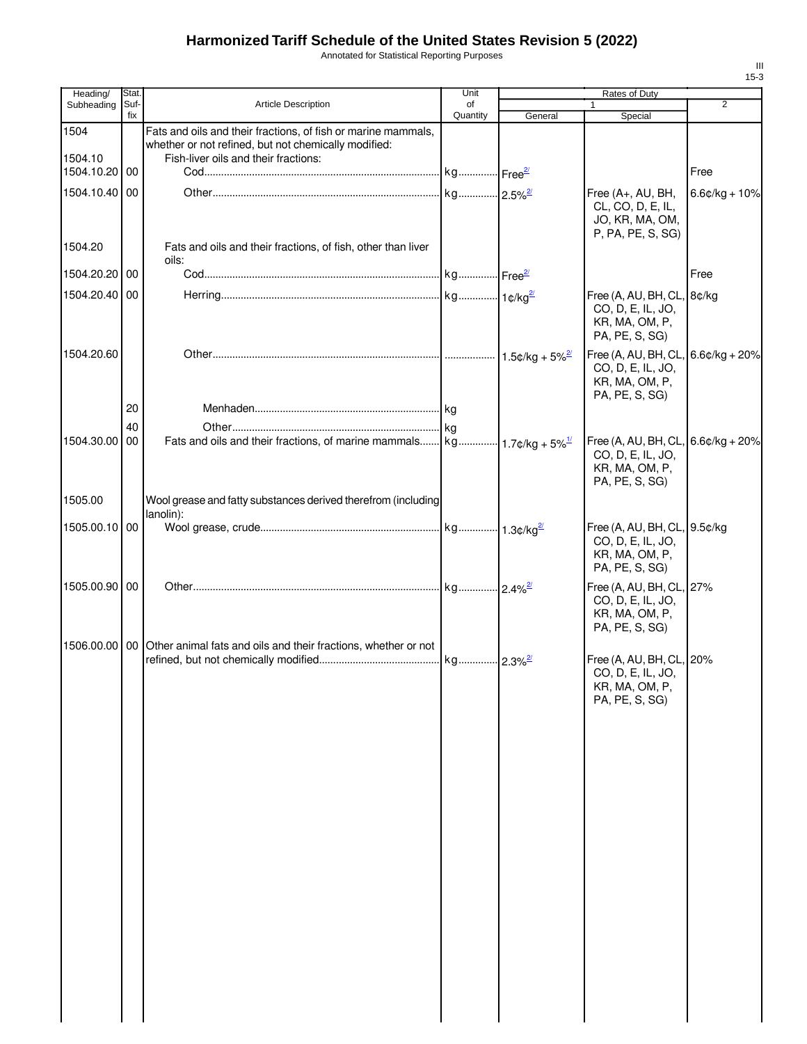Annotated for Statistical Reporting Purposes

| Heading/                 | Stat.       |                                                                                  | Unit           |         | Rates of Duty                          |                  |
|--------------------------|-------------|----------------------------------------------------------------------------------|----------------|---------|----------------------------------------|------------------|
| Subheading               | Suf-<br>fix | <b>Article Description</b>                                                       | of<br>Quantity | General | $\mathbf{1}$<br>Special                | 2                |
| 1504                     |             | Fats and oils and their fractions, of fish or marine mammals,                    |                |         |                                        |                  |
|                          |             | whether or not refined, but not chemically modified:                             |                |         |                                        |                  |
| 1504.10<br>1504.10.20 00 |             | Fish-liver oils and their fractions:                                             |                |         |                                        | Free             |
|                          |             |                                                                                  |                |         |                                        |                  |
| 1504.10.40 00            |             |                                                                                  |                |         | Free (A+, AU, BH,<br>CL, CO, D, E, IL, | $6.6¢/kg + 10%$  |
|                          |             |                                                                                  |                |         | JO, KR, MA, OM,                        |                  |
|                          |             |                                                                                  |                |         | P, PA, PE, S, SG)                      |                  |
| 1504.20                  |             | Fats and oils and their fractions, of fish, other than liver<br>oils:            |                |         |                                        |                  |
| 1504.20.20 00            |             |                                                                                  |                |         |                                        | Free             |
| 1504.20.40 00            |             |                                                                                  |                |         | Free (A, AU, BH, CL, 8¢/kg             |                  |
|                          |             |                                                                                  |                |         | CO, D, E, IL, JO,                      |                  |
|                          |             |                                                                                  |                |         | KR, MA, OM, P,                         |                  |
|                          |             |                                                                                  |                |         | PA, PE, S, SG)                         |                  |
| 1504.20.60               |             |                                                                                  |                |         | Free (A, AU, BH, CL,                   | $6.6¢/kg + 20%$  |
|                          |             |                                                                                  |                |         | CO, D, E, IL, JO,<br>KR, MA, OM, P,    |                  |
|                          |             |                                                                                  |                |         | PA, PE, S, SG)                         |                  |
|                          | 20          |                                                                                  |                |         |                                        |                  |
|                          | 40          |                                                                                  |                |         |                                        |                  |
| 1504.30.00 00            |             |                                                                                  |                |         | Free (A, AU, BH, CL,                   | $6.6$ ¢/kg + 20% |
|                          |             |                                                                                  |                |         | CO, D, E, IL, JO,<br>KR, MA, OM, P,    |                  |
|                          |             |                                                                                  |                |         | PA, PE, S, SG)                         |                  |
| 1505.00                  |             | Wool grease and fatty substances derived therefrom (including                    |                |         |                                        |                  |
|                          |             | lanolin):                                                                        |                |         |                                        |                  |
| 1505.00.10 00            |             |                                                                                  |                |         | Free (A, AU, BH, CL, 9.5¢/kg           |                  |
|                          |             |                                                                                  |                |         | CO, D, E, IL, JO,<br>KR, MA, OM, P,    |                  |
|                          |             |                                                                                  |                |         | PA, PE, S, SG)                         |                  |
| 1505.00.90 00            |             |                                                                                  |                |         | Free (A, AU, BH, CL, 27%               |                  |
|                          |             |                                                                                  |                |         | CO, D, E, IL, JO,                      |                  |
|                          |             |                                                                                  |                |         | KR, MA, OM, P,                         |                  |
|                          |             |                                                                                  |                |         | PA, PE, S, SG)                         |                  |
|                          |             | 1506.00.00   00   Other animal fats and oils and their fractions, whether or not |                |         | Free (A, AU, BH, CL, 20%               |                  |
|                          |             |                                                                                  |                |         | CO, D, E, IL, JO,                      |                  |
|                          |             |                                                                                  |                |         | KR, MA, OM, P,                         |                  |
|                          |             |                                                                                  |                |         | PA, PE, S, SG)                         |                  |
|                          |             |                                                                                  |                |         |                                        |                  |
|                          |             |                                                                                  |                |         |                                        |                  |
|                          |             |                                                                                  |                |         |                                        |                  |
|                          |             |                                                                                  |                |         |                                        |                  |
|                          |             |                                                                                  |                |         |                                        |                  |
|                          |             |                                                                                  |                |         |                                        |                  |
|                          |             |                                                                                  |                |         |                                        |                  |
|                          |             |                                                                                  |                |         |                                        |                  |
|                          |             |                                                                                  |                |         |                                        |                  |
|                          |             |                                                                                  |                |         |                                        |                  |
|                          |             |                                                                                  |                |         |                                        |                  |
|                          |             |                                                                                  |                |         |                                        |                  |
|                          |             |                                                                                  |                |         |                                        |                  |
|                          |             |                                                                                  |                |         |                                        |                  |
|                          |             |                                                                                  |                |         |                                        |                  |
|                          |             |                                                                                  |                |         |                                        |                  |
|                          |             |                                                                                  |                |         |                                        |                  |
|                          |             |                                                                                  |                |         |                                        |                  |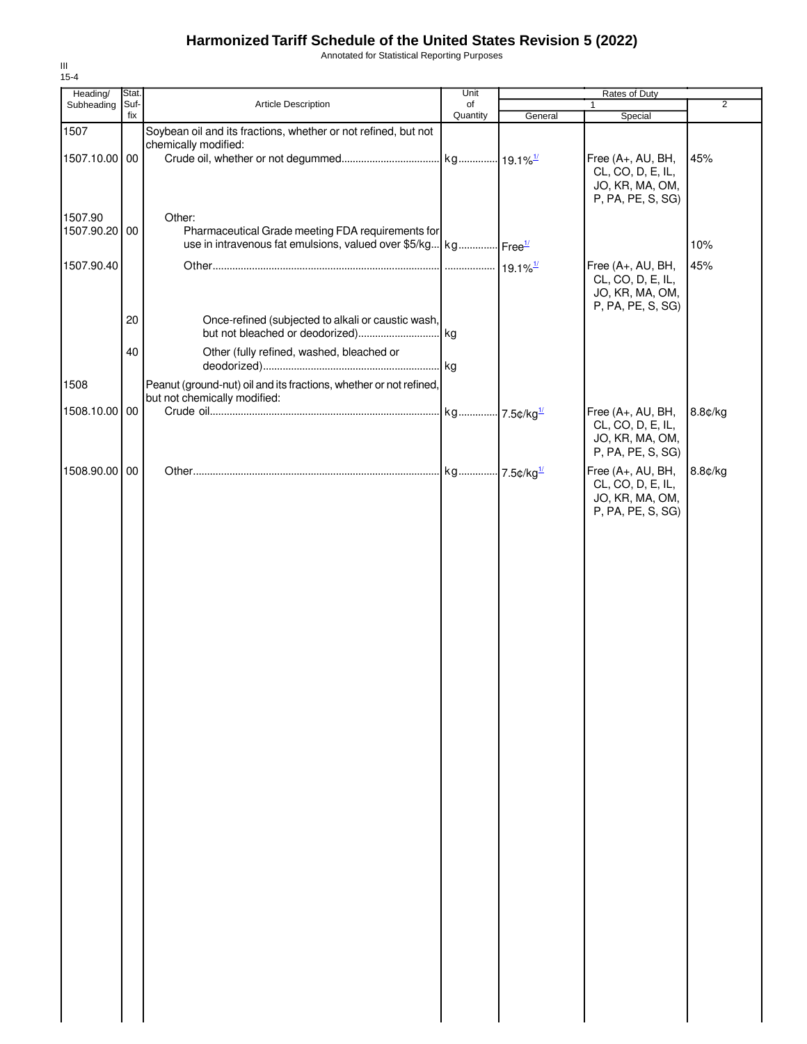Annotated for Statistical Reporting Purposes

| Heading/      | Stat.       |                                                                            | Unit           |         | Rates of Duty                          |                |
|---------------|-------------|----------------------------------------------------------------------------|----------------|---------|----------------------------------------|----------------|
| Subheading    | Suf-<br>fix | Article Description                                                        | of<br>Quantity | General | $\mathbf{1}$<br>Special                | $\overline{2}$ |
| 1507          |             | Soybean oil and its fractions, whether or not refined, but not             |                |         |                                        |                |
|               |             | chemically modified:                                                       |                |         |                                        |                |
| 1507.10.00 00 |             |                                                                            |                |         | Free (A+, AU, BH,                      | 45%            |
|               |             |                                                                            |                |         | CL, CO, D, E, IL,                      |                |
|               |             |                                                                            |                |         | JO, KR, MA, OM,                        |                |
|               |             |                                                                            |                |         | P, PA, PE, S, SG)                      |                |
| 1507.90       |             | Other:                                                                     |                |         |                                        |                |
| 1507.90.20    | 00          | Pharmaceutical Grade meeting FDA requirements for                          |                |         |                                        |                |
|               |             | use in intravenous fat emulsions, valued over \$5/kg kg Free <sup>1/</sup> |                |         |                                        | 10%            |
| 1507.90.40    |             |                                                                            |                |         | Free (A+, AU, BH,                      | 45%            |
|               |             |                                                                            |                |         | CL, CO, D, E, IL,                      |                |
|               |             |                                                                            |                |         | JO, KR, MA, OM,                        |                |
|               | 20          | Once-refined (subjected to alkali or caustic wash,                         |                |         | P, PA, PE, S, SG)                      |                |
|               |             |                                                                            |                |         |                                        |                |
|               |             |                                                                            |                |         |                                        |                |
|               | 40          | Other (fully refined, washed, bleached or                                  |                |         |                                        |                |
|               |             |                                                                            |                |         |                                        |                |
| 1508          |             | Peanut (ground-nut) oil and its fractions, whether or not refined,         |                |         |                                        |                |
|               |             | but not chemically modified:                                               |                |         |                                        |                |
| 1508.10.00    | 00          |                                                                            |                |         | Free (A+, AU, BH,<br>CL, CO, D, E, IL, | 8.8¢/kg        |
|               |             |                                                                            |                |         | JO, KR, MA, OM,                        |                |
|               |             |                                                                            |                |         | P, PA, PE, S, SG)                      |                |
| 1508.90.00    | 00          |                                                                            |                |         |                                        |                |
|               |             |                                                                            |                |         | Free (A+, AU, BH,<br>CL, CO, D, E, IL, | 8.8¢/kg        |
|               |             |                                                                            |                |         | JO, KR, MA, OM,                        |                |
|               |             |                                                                            |                |         | P, PA, PE, S, SG)                      |                |
|               |             |                                                                            |                |         |                                        |                |
|               |             |                                                                            |                |         |                                        |                |
|               |             |                                                                            |                |         |                                        |                |
|               |             |                                                                            |                |         |                                        |                |
|               |             |                                                                            |                |         |                                        |                |
|               |             |                                                                            |                |         |                                        |                |
|               |             |                                                                            |                |         |                                        |                |
|               |             |                                                                            |                |         |                                        |                |
|               |             |                                                                            |                |         |                                        |                |
|               |             |                                                                            |                |         |                                        |                |
|               |             |                                                                            |                |         |                                        |                |
|               |             |                                                                            |                |         |                                        |                |
|               |             |                                                                            |                |         |                                        |                |
|               |             |                                                                            |                |         |                                        |                |
|               |             |                                                                            |                |         |                                        |                |
|               |             |                                                                            |                |         |                                        |                |
|               |             |                                                                            |                |         |                                        |                |
|               |             |                                                                            |                |         |                                        |                |
|               |             |                                                                            |                |         |                                        |                |
|               |             |                                                                            |                |         |                                        |                |
|               |             |                                                                            |                |         |                                        |                |
|               |             |                                                                            |                |         |                                        |                |
|               |             |                                                                            |                |         |                                        |                |
|               |             |                                                                            |                |         |                                        |                |
|               |             |                                                                            |                |         |                                        |                |
|               |             |                                                                            |                |         |                                        |                |
|               |             |                                                                            |                |         |                                        |                |
|               |             |                                                                            |                |         |                                        |                |
|               |             |                                                                            |                |         |                                        |                |
|               |             |                                                                            |                |         |                                        |                |
|               |             |                                                                            |                |         |                                        |                |
|               |             |                                                                            |                |         |                                        |                |
|               |             |                                                                            |                |         |                                        |                |
|               |             |                                                                            |                |         |                                        |                |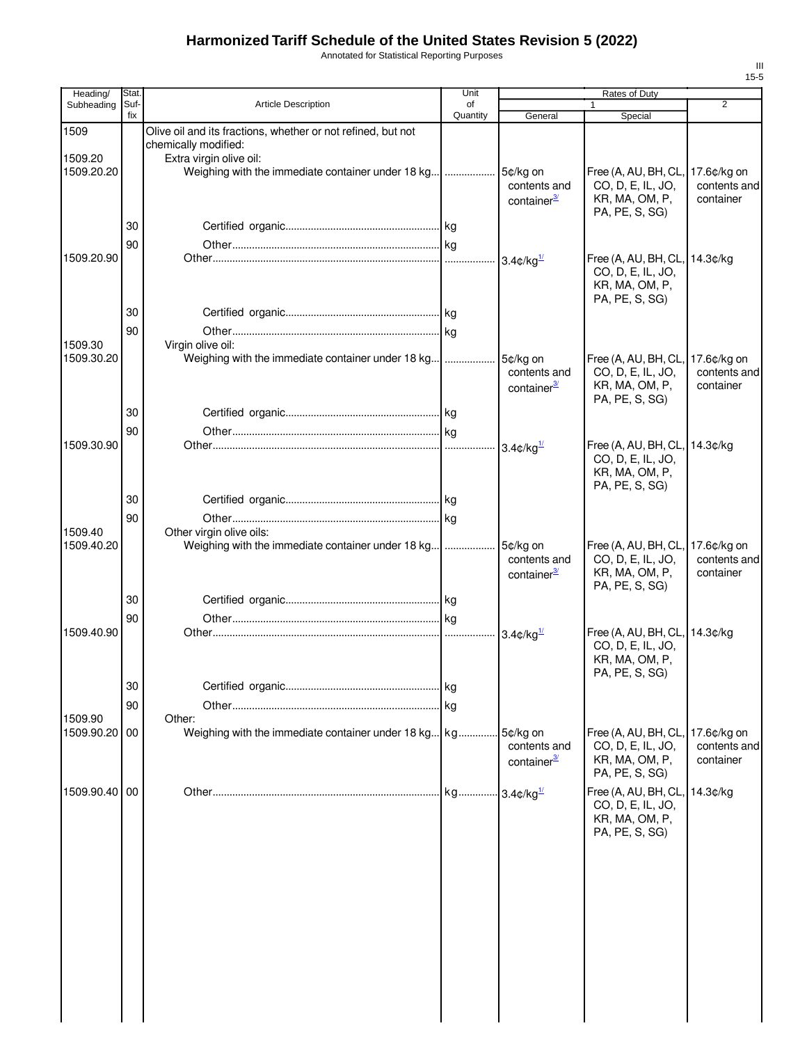Annotated for Statistical Reporting Purposes

| Heading/      | Stat.       |                                                                                      | Unit           |                                                     | Rates of Duty                                                                             |                                          |
|---------------|-------------|--------------------------------------------------------------------------------------|----------------|-----------------------------------------------------|-------------------------------------------------------------------------------------------|------------------------------------------|
| Subheading    | Suf-<br>fix | <b>Article Description</b>                                                           | of<br>Quantity | General                                             | 1<br>Special                                                                              | $\overline{2}$                           |
| 1509          |             | Olive oil and its fractions, whether or not refined, but not<br>chemically modified: |                |                                                     |                                                                                           |                                          |
| 1509.20       |             | Extra virgin olive oil:                                                              |                |                                                     |                                                                                           |                                          |
| 1509.20.20    |             | Weighing with the immediate container under 18 kg                                    |                | 5¢/kg on<br>contents and<br>container <sup>3/</sup> | Free (A, AU, BH, CL,<br>CO, D, E, IL, JO,<br>KR, MA, OM, P,<br>PA, PE, S, SG)             | 17.6¢/kg on<br>contents and<br>container |
|               | 30          |                                                                                      |                |                                                     |                                                                                           |                                          |
|               | 90          |                                                                                      |                |                                                     |                                                                                           |                                          |
| 1509.20.90    |             |                                                                                      |                | $3.4$ ¢/kg $\frac{1}{2}$                            | Free (A, AU, BH, CL, 14.3¢/kg<br>CO, D, E, IL, JO,<br>KR, MA, OM, P,<br>PA, PE, S, SG)    |                                          |
|               | 30          |                                                                                      |                |                                                     |                                                                                           |                                          |
|               | 90          |                                                                                      |                |                                                     |                                                                                           |                                          |
| 1509.30       |             | Virgin olive oil:                                                                    |                |                                                     |                                                                                           |                                          |
| 1509.30.20    |             | Weighing with the immediate container under 18 kg                                    |                | 5¢/kg on<br>contents and<br>container <sup>3/</sup> | Free (A, AU, BH, CL,<br>CO, D, E, IL, JO,<br>KR, MA, OM, P,<br>PA, PE, S, SG)             | 17.6¢/kg on<br>contents and<br>container |
|               | 30          |                                                                                      |                |                                                     |                                                                                           |                                          |
|               | 90          |                                                                                      |                |                                                     |                                                                                           |                                          |
| 1509.30.90    |             |                                                                                      |                | $3.4$ ¢/kg $\frac{1}{2}$                            | Free (A, AU, BH, CL,<br>CO, D, E, IL, JO,<br>KR, MA, OM, P,<br>PA, PE, S, SG)             | 14.3¢/kg                                 |
|               | 30          |                                                                                      |                |                                                     |                                                                                           |                                          |
|               | 90          |                                                                                      |                |                                                     |                                                                                           |                                          |
| 1509.40       |             | Other virgin olive oils:                                                             |                |                                                     |                                                                                           |                                          |
| 1509.40.20    |             | Weighing with the immediate container under 18 kg                                    |                | 5¢/kg on<br>contents and<br>container <sup>3/</sup> | Free (A, AU, BH, CL,<br>CO, D, E, IL, JO,<br>KR, MA, OM, P,<br>PA, PE, S, SG)             | 17.6¢/kg on<br>contents and<br>container |
|               | 30          |                                                                                      |                |                                                     |                                                                                           |                                          |
| 1509.40.90    | 90          |                                                                                      |                |                                                     |                                                                                           |                                          |
|               |             |                                                                                      |                | $3.4$ ¢/kg $\frac{1}{2}$                            | Free (A, AU, BH, CL,<br>CO, D, E, IL, JO,<br>KR, MA, OM, P,<br>PA, PE, S, SG)             | 14.3¢/kg                                 |
|               | 30          |                                                                                      |                |                                                     |                                                                                           |                                          |
|               | 90          |                                                                                      |                |                                                     |                                                                                           |                                          |
| 1509.90       |             | Other:                                                                               |                |                                                     |                                                                                           |                                          |
| 1509.90.20 00 |             | Weighing with the immediate container under 18 kg kg                                 |                | 5¢/kg on<br>contents and<br>container <sup>3/</sup> | Free (A, AU, BH, CL, 17.6¢/kg on<br>CO, D, E, IL, JO,<br>KR, MA, OM, P,<br>PA, PE, S, SG) | contents and<br>container                |
| 1509.90.40 00 |             |                                                                                      |                |                                                     | Free (A, AU, BH, CL,<br>CO, D, E, IL, JO,<br>KR, MA, OM, P,<br>PA, PE, S, SG)             | 14.3¢/kg                                 |
|               |             |                                                                                      |                |                                                     |                                                                                           |                                          |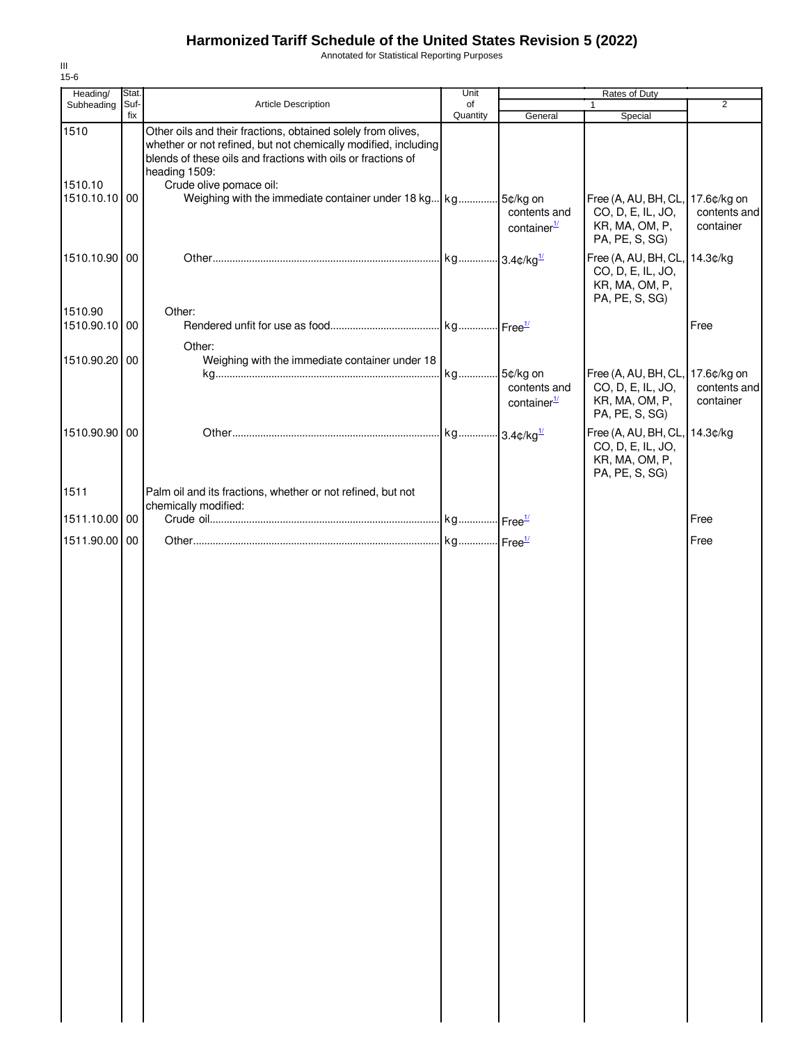Annotated for Statistical Reporting Purposes

| Heading/                         | Stat.       |                                                                                                                                                                                                                                            | Unit           |                                         | Rates of Duty                                                                          |                                          |
|----------------------------------|-------------|--------------------------------------------------------------------------------------------------------------------------------------------------------------------------------------------------------------------------------------------|----------------|-----------------------------------------|----------------------------------------------------------------------------------------|------------------------------------------|
| Subheading                       | Suf-<br>fix | Article Description                                                                                                                                                                                                                        | of<br>Quantity | General                                 | 1<br>Special                                                                           | $\overline{2}$                           |
| 1510<br>1510.10<br>1510.10.10 00 |             | Other oils and their fractions, obtained solely from olives,<br>whether or not refined, but not chemically modified, including<br>blends of these oils and fractions with oils or fractions of<br>heading 1509:<br>Crude olive pomace oil: |                | contents and                            | Free (A, AU, BH, CL, 17.6¢/kg on<br>CO, D, E, IL, JO,                                  | contents and                             |
|                                  |             |                                                                                                                                                                                                                                            |                | container <sup>1/</sup>                 | KR, MA, OM, P,<br>PA, PE, S, SG)                                                       | container                                |
| 1510.10.90 00                    |             |                                                                                                                                                                                                                                            |                |                                         | Free (A, AU, BH, CL, 14.3¢/kg<br>CO, D, E, IL, JO,<br>KR, MA, OM, P,<br>PA, PE, S, SG) |                                          |
| 1510.90<br>1510.90.10 00         |             | Other:                                                                                                                                                                                                                                     |                |                                         |                                                                                        | Free                                     |
| 1510.90.20 00                    |             | Other:<br>Weighing with the immediate container under 18                                                                                                                                                                                   |                |                                         |                                                                                        |                                          |
|                                  |             |                                                                                                                                                                                                                                            | kg 5¢/kg on    | contents and<br>container <sup>1/</sup> | Free (A, AU, BH, CL,<br>CO, D, E, IL, JO,<br>KR, MA, OM, P,<br>PA, PE, S, SG)          | 17.6¢/kg on<br>contents and<br>container |
| 1510.90.90 00                    |             |                                                                                                                                                                                                                                            |                |                                         | Free (A, AU, BH, CL,<br>CO, D, E, IL, JO,<br>KR, MA, OM, P,<br>PA, PE, S, SG)          | 14.3¢/kg                                 |
| 1511                             |             | Palm oil and its fractions, whether or not refined, but not<br>chemically modified:                                                                                                                                                        |                |                                         |                                                                                        |                                          |
| 1511.10.00 00                    |             |                                                                                                                                                                                                                                            |                |                                         |                                                                                        | Free                                     |
| 1511.90.00 00                    |             |                                                                                                                                                                                                                                            |                |                                         |                                                                                        | Free                                     |
|                                  |             |                                                                                                                                                                                                                                            |                |                                         |                                                                                        |                                          |
|                                  |             |                                                                                                                                                                                                                                            |                |                                         |                                                                                        |                                          |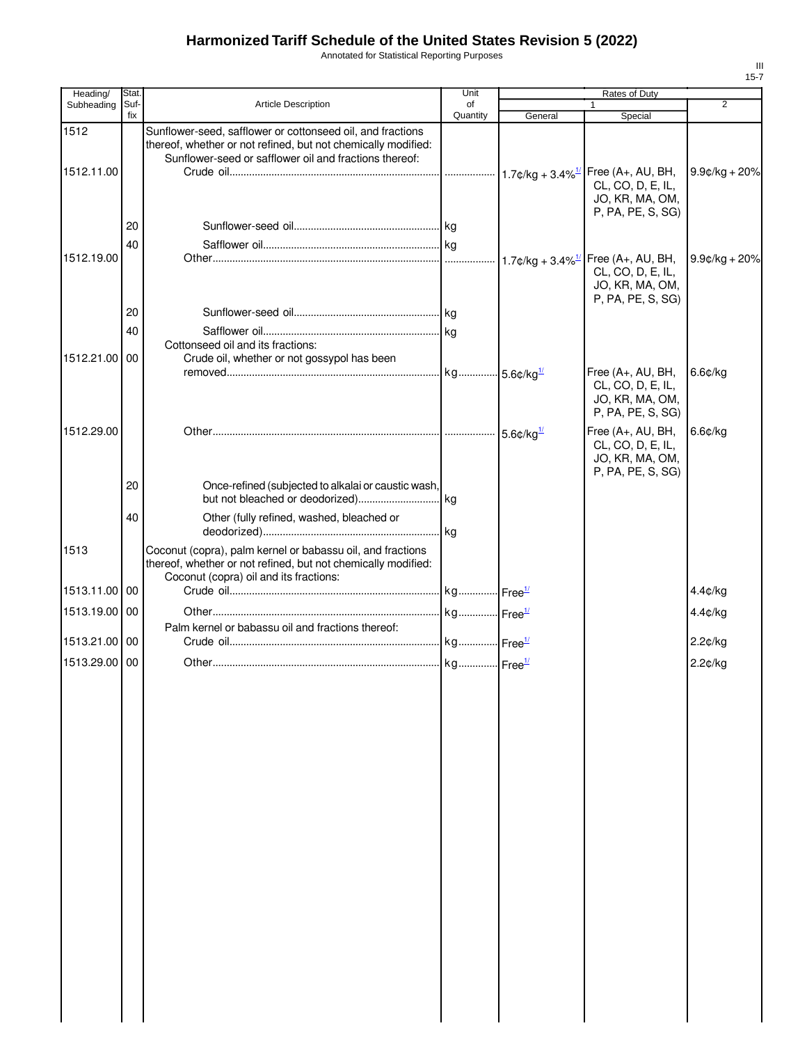Annotated for Statistical Reporting Purposes

| Heading/      | Stat        |                                                                                                                                                                                       | Unit           |         | Rates of Duty                                                                  |                 |
|---------------|-------------|---------------------------------------------------------------------------------------------------------------------------------------------------------------------------------------|----------------|---------|--------------------------------------------------------------------------------|-----------------|
| Subheading    | Suf-<br>fix | Article Description                                                                                                                                                                   | of<br>Quantity | General | 1<br>Special                                                                   | $\overline{2}$  |
| 1512          |             | Sunflower-seed, safflower or cottonseed oil, and fractions<br>thereof, whether or not refined, but not chemically modified:<br>Sunflower-seed or safflower oil and fractions thereof: |                |         |                                                                                |                 |
| 1512.11.00    |             |                                                                                                                                                                                       |                |         | Free (A+, AU, BH,<br>CL, CO, D, E, IL,<br>JO, KR, MA, OM,                      | $9.9¢/kg + 20%$ |
|               | 20          |                                                                                                                                                                                       |                |         | P, PA, PE, S, SG)                                                              |                 |
| 1512.19.00    | 40          |                                                                                                                                                                                       |                |         | Free (A+, AU, BH,<br>CL, CO, D, E, IL,<br>JO, KR, MA, OM,                      | $9.9¢/kg + 20%$ |
|               | 20          |                                                                                                                                                                                       |                |         | P, PA, PE, S, SG)                                                              |                 |
|               | 40          | Cottonseed oil and its fractions:                                                                                                                                                     |                |         |                                                                                |                 |
| 1512.21.00 00 |             | Crude oil, whether or not gossypol has been                                                                                                                                           |                |         | Free (A+, AU, BH,                                                              | 6.6¢/kg         |
|               |             |                                                                                                                                                                                       |                |         | CL, CO, D, E, IL,<br>JO, KR, MA, OM,<br>P, PA, PE, S, SG)                      |                 |
| 1512.29.00    |             |                                                                                                                                                                                       |                |         | Free (A+, AU, BH,<br>CL, CO, D, E, IL,<br>JO, KR, MA, OM,<br>P, PA, PE, S, SG) | 6.6¢/kg         |
|               | 20          | Once-refined (subjected to alkalai or caustic wash,                                                                                                                                   |                |         |                                                                                |                 |
|               | 40          | Other (fully refined, washed, bleached or                                                                                                                                             |                |         |                                                                                |                 |
| 1513          |             | Coconut (copra), palm kernel or babassu oil, and fractions<br>thereof, whether or not refined, but not chemically modified:<br>Coconut (copra) oil and its fractions:                 |                |         |                                                                                |                 |
| 1513.11.00 00 |             |                                                                                                                                                                                       |                |         |                                                                                | 4.4¢/kg         |
| 1513.19.00 00 |             | Palm kernel or babassu oil and fractions thereof:                                                                                                                                     |                |         |                                                                                | $4.4$ ¢/kg      |
| 1513.21.00 00 |             |                                                                                                                                                                                       |                |         |                                                                                | 2.2¢/kg         |
| 1513.29.00 00 |             |                                                                                                                                                                                       |                |         |                                                                                | 2.2¢/kg         |
|               |             |                                                                                                                                                                                       |                |         |                                                                                |                 |
|               |             |                                                                                                                                                                                       |                |         |                                                                                |                 |
|               |             |                                                                                                                                                                                       |                |         |                                                                                |                 |
|               |             |                                                                                                                                                                                       |                |         |                                                                                |                 |
|               |             |                                                                                                                                                                                       |                |         |                                                                                |                 |
|               |             |                                                                                                                                                                                       |                |         |                                                                                |                 |
|               |             |                                                                                                                                                                                       |                |         |                                                                                |                 |
|               |             |                                                                                                                                                                                       |                |         |                                                                                |                 |
|               |             |                                                                                                                                                                                       |                |         |                                                                                |                 |
|               |             |                                                                                                                                                                                       |                |         |                                                                                |                 |
|               |             |                                                                                                                                                                                       |                |         |                                                                                |                 |
|               |             |                                                                                                                                                                                       |                |         |                                                                                |                 |
|               |             |                                                                                                                                                                                       |                |         |                                                                                |                 |
|               |             |                                                                                                                                                                                       |                |         |                                                                                |                 |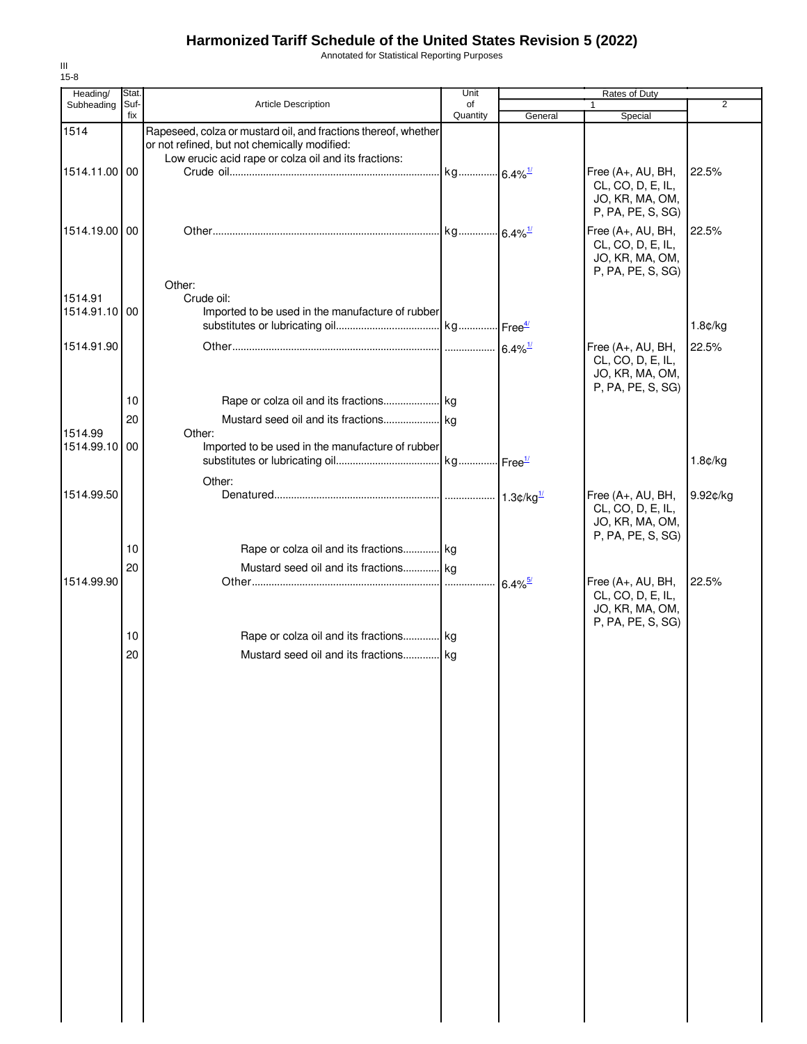Annotated for Statistical Reporting Purposes

| Heading/                 | Stat.       |                                                                                                                                                                        | Unit           |                       | Rates of Duty                                                                  |          |
|--------------------------|-------------|------------------------------------------------------------------------------------------------------------------------------------------------------------------------|----------------|-----------------------|--------------------------------------------------------------------------------|----------|
| Subheading               | Suf-<br>fix | <b>Article Description</b>                                                                                                                                             | of<br>Quantity | General               | $\mathbf{1}$<br>Special                                                        | 2        |
| 1514                     |             | Rapeseed, colza or mustard oil, and fractions thereof, whether<br>or not refined, but not chemically modified:<br>Low erucic acid rape or colza oil and its fractions: |                |                       |                                                                                |          |
| 1514.11.00 00            |             |                                                                                                                                                                        |                |                       | Free (A+, AU, BH,<br>CL, CO, D, E, IL,<br>JO, KR, MA, OM,<br>P, PA, PE, S, SG) | 22.5%    |
| 1514.19.00100            |             | Other:                                                                                                                                                                 |                |                       | Free (A+, AU, BH,<br>CL, CO, D, E, IL,<br>JO, KR, MA, OM,<br>P, PA, PE, S, SG) | 22.5%    |
| 1514.91<br>1514.91.10 00 |             | Crude oil:<br>Imported to be used in the manufacture of rubber                                                                                                         |                |                       |                                                                                | 1.8¢/kg  |
| 1514.91.90               |             |                                                                                                                                                                        |                |                       | Free (A+, AU, BH,<br>CL, CO, D, E, IL,<br>JO, KR, MA, OM,<br>P, PA, PE, S, SG) | 22.5%    |
|                          | 10          |                                                                                                                                                                        |                |                       |                                                                                |          |
| 1514.99                  | 20          | Other:                                                                                                                                                                 |                |                       |                                                                                |          |
| 1514.99.10 00            |             | Imported to be used in the manufacture of rubber                                                                                                                       |                |                       |                                                                                | 1.8¢/kg  |
| 1514.99.50               |             | Other:                                                                                                                                                                 |                |                       | Free (A+, AU, BH,<br>CL, CO, D, E, IL,<br>JO, KR, MA, OM,<br>P, PA, PE, S, SG) | 9.92¢/kg |
|                          | 10          | Rape or colza oil and its fractions kg                                                                                                                                 |                |                       |                                                                                |          |
|                          | 20          | Mustard seed oil and its fractions kg                                                                                                                                  |                |                       |                                                                                |          |
| 1514.99.90               |             |                                                                                                                                                                        |                | $6.4\%$ <sup>5/</sup> | Free (A+, AU, BH,<br>CL, CO, D, E, IL,<br>JO, KR, MA, OM,<br>P, PA, PE, S, SG) | 22.5%    |
|                          | 10          | Rape or colza oil and its fractions kg                                                                                                                                 |                |                       |                                                                                |          |
|                          | 20          | Mustard seed oil and its fractions kg                                                                                                                                  |                |                       |                                                                                |          |
|                          |             |                                                                                                                                                                        |                |                       |                                                                                |          |
|                          |             |                                                                                                                                                                        |                |                       |                                                                                |          |
|                          |             |                                                                                                                                                                        |                |                       |                                                                                |          |
|                          |             |                                                                                                                                                                        |                |                       |                                                                                |          |
|                          |             |                                                                                                                                                                        |                |                       |                                                                                |          |
|                          |             |                                                                                                                                                                        |                |                       |                                                                                |          |
|                          |             |                                                                                                                                                                        |                |                       |                                                                                |          |
|                          |             |                                                                                                                                                                        |                |                       |                                                                                |          |
|                          |             |                                                                                                                                                                        |                |                       |                                                                                |          |
|                          |             |                                                                                                                                                                        |                |                       |                                                                                |          |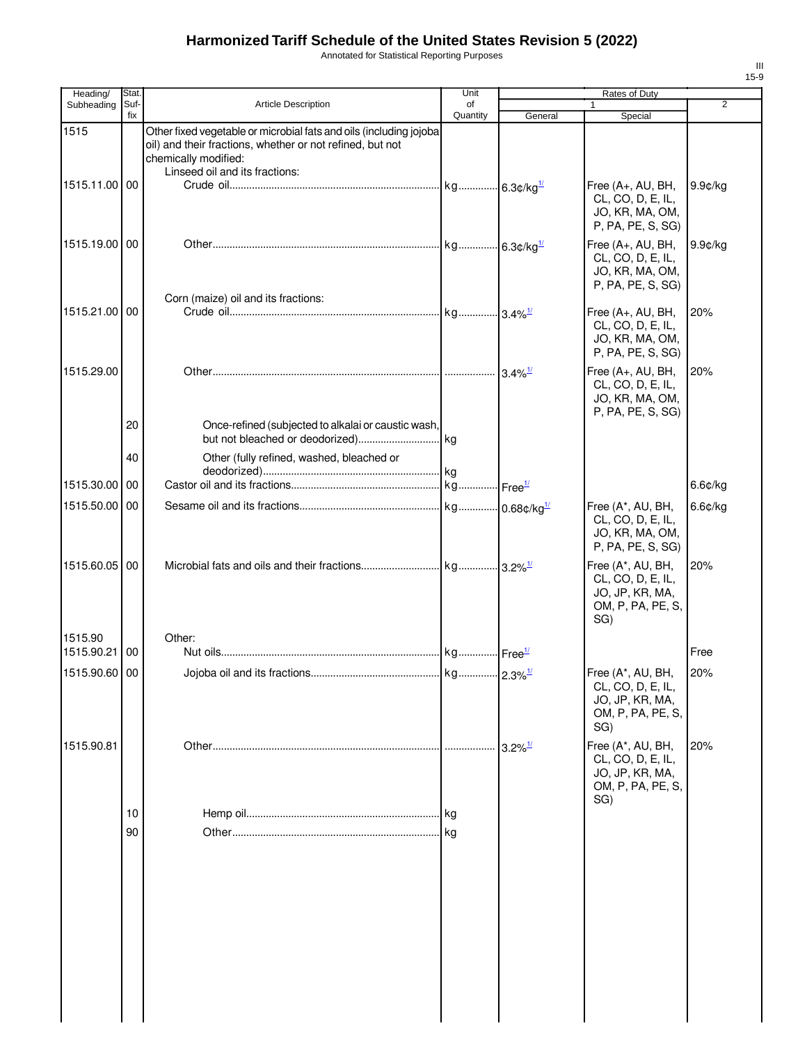Annotated for Statistical Reporting Purposes

| Heading/      | Stat.       |                                                                                                                                                                                           | Unit                  |                       | <b>Rates of Duty</b>                                                                  |                |
|---------------|-------------|-------------------------------------------------------------------------------------------------------------------------------------------------------------------------------------------|-----------------------|-----------------------|---------------------------------------------------------------------------------------|----------------|
| Subheading    | Suf-<br>fix | <b>Article Description</b>                                                                                                                                                                | οf<br>Quantity        | General               | $\mathbf{1}$<br>Special                                                               | $\overline{2}$ |
| 1515          |             | Other fixed vegetable or microbial fats and oils (including jojoba<br>oil) and their fractions, whether or not refined, but not<br>chemically modified:<br>Linseed oil and its fractions: |                       |                       |                                                                                       |                |
| 1515.11.00 00 |             |                                                                                                                                                                                           |                       |                       | Free (A+, AU, BH,<br>CL, CO, D, E, IL,<br>JO, KR, MA, OM,<br>P, PA, PE, S, SG)        | 9.9¢/kg        |
| 1515.19.00 00 |             |                                                                                                                                                                                           |                       |                       | Free (A+, AU, BH,<br>CL, CO, D, E, IL,<br>JO, KR, MA, OM,<br>P, PA, PE, S, SG)        | $9.9$ c/kg     |
| 1515.21.00 00 |             | Corn (maize) oil and its fractions:                                                                                                                                                       |                       |                       | Free (A+, AU, BH,<br>CL, CO, D, E, IL,<br>JO, KR, MA, OM,<br>P, PA, PE, S, SG)        | 20%            |
| 1515.29.00    |             |                                                                                                                                                                                           |                       |                       | Free (A+, AU, BH,<br>CL, CO, D, E, IL,<br>JO, KR, MA, OM,<br>P, PA, PE, S, SG)        | 20%            |
|               | 20<br>40    | Once-refined (subjected to alkalai or caustic wash,<br>Other (fully refined, washed, bleached or                                                                                          |                       |                       |                                                                                       |                |
|               |             |                                                                                                                                                                                           |                       |                       |                                                                                       |                |
| 1515.30.00    | 00          |                                                                                                                                                                                           |                       |                       |                                                                                       | $6.6$ ¢/kg     |
| 1515.50.00 00 |             |                                                                                                                                                                                           |                       |                       | Free (A*, AU, BH,<br>CL, CO, D, E, IL,<br>JO, KR, MA, OM,<br>P, PA, PE, S, SG)        | 6.6¢/kg        |
| 1515.60.05 00 |             |                                                                                                                                                                                           |                       |                       | Free (A*, AU, BH,<br>CL, CO, D, E, IL,<br>JO, JP, KR, MA,<br>OM, P, PA, PE, S,<br>SG) | 20%            |
| 1515.90       |             | Other:                                                                                                                                                                                    |                       |                       |                                                                                       |                |
| 1515.90.21 00 |             |                                                                                                                                                                                           |                       |                       |                                                                                       | Free           |
| 1515.90.60 00 |             |                                                                                                                                                                                           | kg 2.3% <sup>1/</sup> |                       | Free (A*, AU, BH,<br>CL, CO, D, E, IL,<br>JO, JP, KR, MA,<br>OM, P, PA, PE, S,<br>SG) | 20%            |
| 1515.90.81    |             |                                                                                                                                                                                           |                       | $3.2\%$ <sup>1/</sup> | Free (A*, AU, BH,<br>CL, CO, D, E, IL,<br>JO, JP, KR, MA,<br>OM, P, PA, PE, S,<br>SG) | 20%            |
|               | 10          |                                                                                                                                                                                           | kg                    |                       |                                                                                       |                |
|               | 90          |                                                                                                                                                                                           | kg                    |                       |                                                                                       |                |
|               |             |                                                                                                                                                                                           |                       |                       |                                                                                       |                |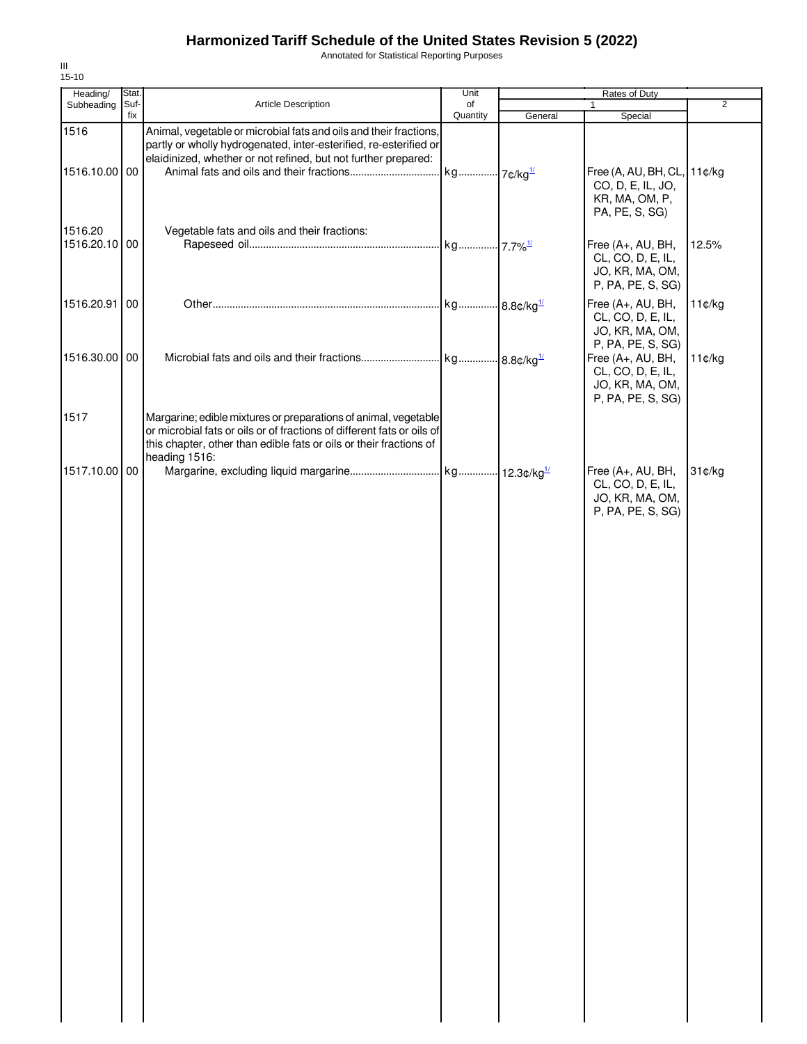Annotated for Statistical Reporting Purposes

| Heading/      | Stat. |                                                                                                                                                                                                                                  | Unit                   |         | Rates of Duty                                                                        |                |
|---------------|-------|----------------------------------------------------------------------------------------------------------------------------------------------------------------------------------------------------------------------------------|------------------------|---------|--------------------------------------------------------------------------------------|----------------|
| Subheading    | Suf-  | <b>Article Description</b>                                                                                                                                                                                                       | of                     |         | 1                                                                                    | $\overline{2}$ |
| 1516          | fix   | Animal, vegetable or microbial fats and oils and their fractions,<br>partly or wholly hydrogenated, inter-esterified, re-esterified or                                                                                           | Quantity               | General | Special                                                                              |                |
|               |       | elaidinized, whether or not refined, but not further prepared:                                                                                                                                                                   |                        |         |                                                                                      |                |
| 1516.10.00 00 |       |                                                                                                                                                                                                                                  | kg 7¢/kg <sup>1/</sup> |         | Free (A, AU, BH, CL, 11¢/kg<br>CO, D, E, IL, JO,<br>KR, MA, OM, P,<br>PA, PE, S, SG) |                |
| 1516.20       |       | Vegetable fats and oils and their fractions:                                                                                                                                                                                     |                        |         |                                                                                      |                |
| 1516.20.10 00 |       |                                                                                                                                                                                                                                  |                        |         | Free (A+, AU, BH,<br>CL, CO, D, E, IL,<br>JO, KR, MA, OM,<br>P, PA, PE, S, SG)       | 12.5%          |
| 1516.20.91    | 00    |                                                                                                                                                                                                                                  |                        |         | Free (A+, AU, BH,<br>CL, CO, D, E, IL,<br>JO, KR, MA, OM,<br>P, PA, PE, S, SG)       | 11¢/kg         |
| 1516.30.00    | 00    |                                                                                                                                                                                                                                  |                        |         | Free (A+, AU, BH,<br>CL, CO, D, E, IL,<br>JO, KR, MA, OM,<br>P, PA, PE, S, SG)       | 11¢/kg         |
| 1517          |       | Margarine; edible mixtures or preparations of animal, vegetable<br>or microbial fats or oils or of fractions of different fats or oils of<br>this chapter, other than edible fats or oils or their fractions of<br>heading 1516: |                        |         |                                                                                      |                |
| 1517.10.00 00 |       |                                                                                                                                                                                                                                  |                        |         | Free (A+, AU, BH,<br>CL, CO, D, E, IL,<br>JO, KR, MA, OM,<br>P, PA, PE, S, SG)       | 31¢/kg         |
|               |       |                                                                                                                                                                                                                                  |                        |         |                                                                                      |                |
|               |       |                                                                                                                                                                                                                                  |                        |         |                                                                                      |                |
|               |       |                                                                                                                                                                                                                                  |                        |         |                                                                                      |                |
|               |       |                                                                                                                                                                                                                                  |                        |         |                                                                                      |                |
|               |       |                                                                                                                                                                                                                                  |                        |         |                                                                                      |                |
|               |       |                                                                                                                                                                                                                                  |                        |         |                                                                                      |                |
|               |       |                                                                                                                                                                                                                                  |                        |         |                                                                                      |                |
|               |       |                                                                                                                                                                                                                                  |                        |         |                                                                                      |                |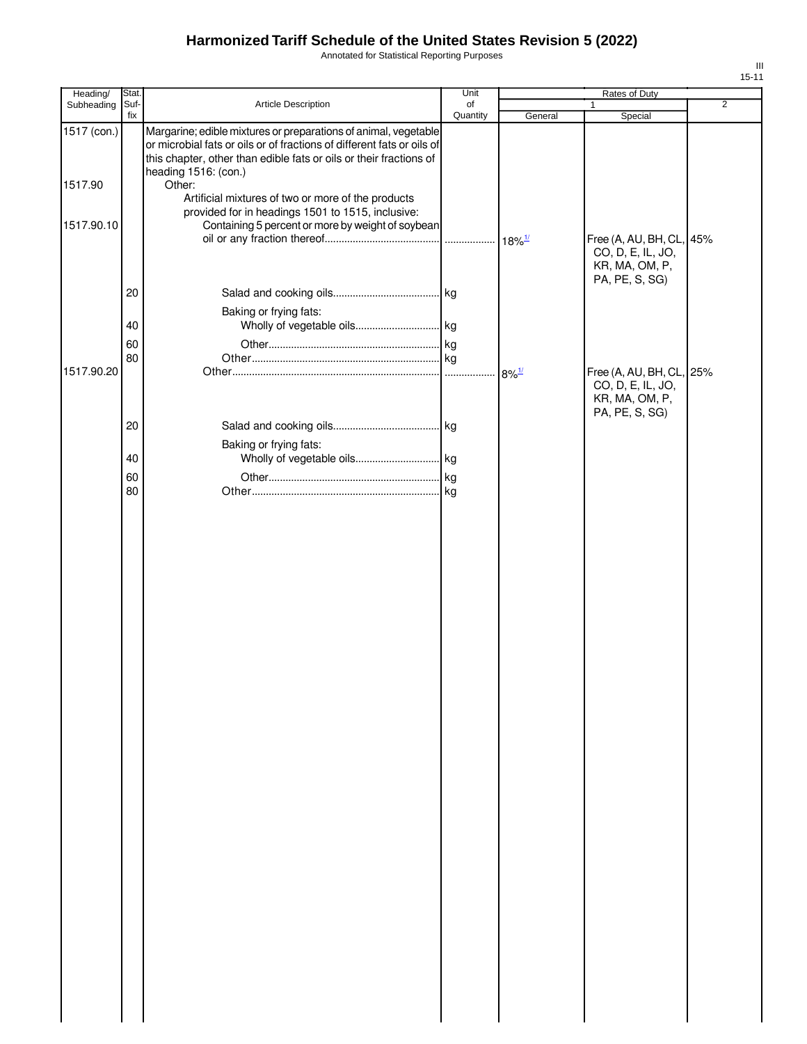Annotated for Statistical Reporting Purposes

| Heading/    | Stat.       |                                                                                                                                                                                                                                         | Unit           |                     | Rates of Duty                                 |                |
|-------------|-------------|-----------------------------------------------------------------------------------------------------------------------------------------------------------------------------------------------------------------------------------------|----------------|---------------------|-----------------------------------------------|----------------|
| Subheading  | Suf-<br>fix | Article Description                                                                                                                                                                                                                     | of<br>Quantity | General             | 1<br>Special                                  | $\overline{2}$ |
| 1517 (con.) |             | Margarine; edible mixtures or preparations of animal, vegetable<br>or microbial fats or oils or of fractions of different fats or oils of<br>this chapter, other than edible fats or oils or their fractions of<br>heading 1516: (con.) |                |                     |                                               |                |
| 1517.90     |             | Other:<br>Artificial mixtures of two or more of the products                                                                                                                                                                            |                |                     |                                               |                |
| 1517.90.10  |             | provided for in headings 1501 to 1515, inclusive:<br>Containing 5 percent or more by weight of soybean                                                                                                                                  |                |                     | Free (A, AU, BH, CL, 45%<br>CO, D, E, IL, JO, |                |
|             |             |                                                                                                                                                                                                                                         |                |                     | KR, MA, OM, P,<br>PA, PE, S, SG)              |                |
|             | 20          |                                                                                                                                                                                                                                         |                |                     |                                               |                |
|             |             | Baking or frying fats:                                                                                                                                                                                                                  |                |                     |                                               |                |
|             | 40          |                                                                                                                                                                                                                                         |                |                     |                                               |                |
|             | 60<br>80    |                                                                                                                                                                                                                                         |                |                     |                                               |                |
| 1517.90.20  |             |                                                                                                                                                                                                                                         |                | $8\%$ <sup>1/</sup> | Free (A, AU, BH, CL, 25%                      |                |
|             |             |                                                                                                                                                                                                                                         |                |                     | CO, D, E, IL, JO,<br>KR, MA, OM, P,           |                |
|             |             |                                                                                                                                                                                                                                         |                |                     | PA, PE, S, SG)                                |                |
|             | 20          |                                                                                                                                                                                                                                         |                |                     |                                               |                |
|             | 40          | Baking or frying fats:                                                                                                                                                                                                                  |                |                     |                                               |                |
|             | 60          |                                                                                                                                                                                                                                         |                |                     |                                               |                |
|             | 80          |                                                                                                                                                                                                                                         |                |                     |                                               |                |
|             |             |                                                                                                                                                                                                                                         |                |                     |                                               |                |
|             |             |                                                                                                                                                                                                                                         |                |                     |                                               |                |
|             |             |                                                                                                                                                                                                                                         |                |                     |                                               |                |
|             |             |                                                                                                                                                                                                                                         |                |                     |                                               |                |
|             |             |                                                                                                                                                                                                                                         |                |                     |                                               |                |
|             |             |                                                                                                                                                                                                                                         |                |                     |                                               |                |
|             |             |                                                                                                                                                                                                                                         |                |                     |                                               |                |
|             |             |                                                                                                                                                                                                                                         |                |                     |                                               |                |
|             |             |                                                                                                                                                                                                                                         |                |                     |                                               |                |
|             |             |                                                                                                                                                                                                                                         |                |                     |                                               |                |
|             |             |                                                                                                                                                                                                                                         |                |                     |                                               |                |
|             |             |                                                                                                                                                                                                                                         |                |                     |                                               |                |
|             |             |                                                                                                                                                                                                                                         |                |                     |                                               |                |
|             |             |                                                                                                                                                                                                                                         |                |                     |                                               |                |
|             |             |                                                                                                                                                                                                                                         |                |                     |                                               |                |
|             |             |                                                                                                                                                                                                                                         |                |                     |                                               |                |
|             |             |                                                                                                                                                                                                                                         |                |                     |                                               |                |
|             |             |                                                                                                                                                                                                                                         |                |                     |                                               |                |
|             |             |                                                                                                                                                                                                                                         |                |                     |                                               |                |
|             |             |                                                                                                                                                                                                                                         |                |                     |                                               |                |
|             |             |                                                                                                                                                                                                                                         |                |                     |                                               |                |
|             |             |                                                                                                                                                                                                                                         |                |                     |                                               |                |
|             |             |                                                                                                                                                                                                                                         |                |                     |                                               |                |
|             |             |                                                                                                                                                                                                                                         |                |                     |                                               |                |
|             |             |                                                                                                                                                                                                                                         |                |                     |                                               |                |
|             |             |                                                                                                                                                                                                                                         |                |                     |                                               |                |
|             |             |                                                                                                                                                                                                                                         |                |                     |                                               |                |
|             |             |                                                                                                                                                                                                                                         |                |                     |                                               |                |
|             |             |                                                                                                                                                                                                                                         |                |                     |                                               |                |
|             |             |                                                                                                                                                                                                                                         |                |                     |                                               |                |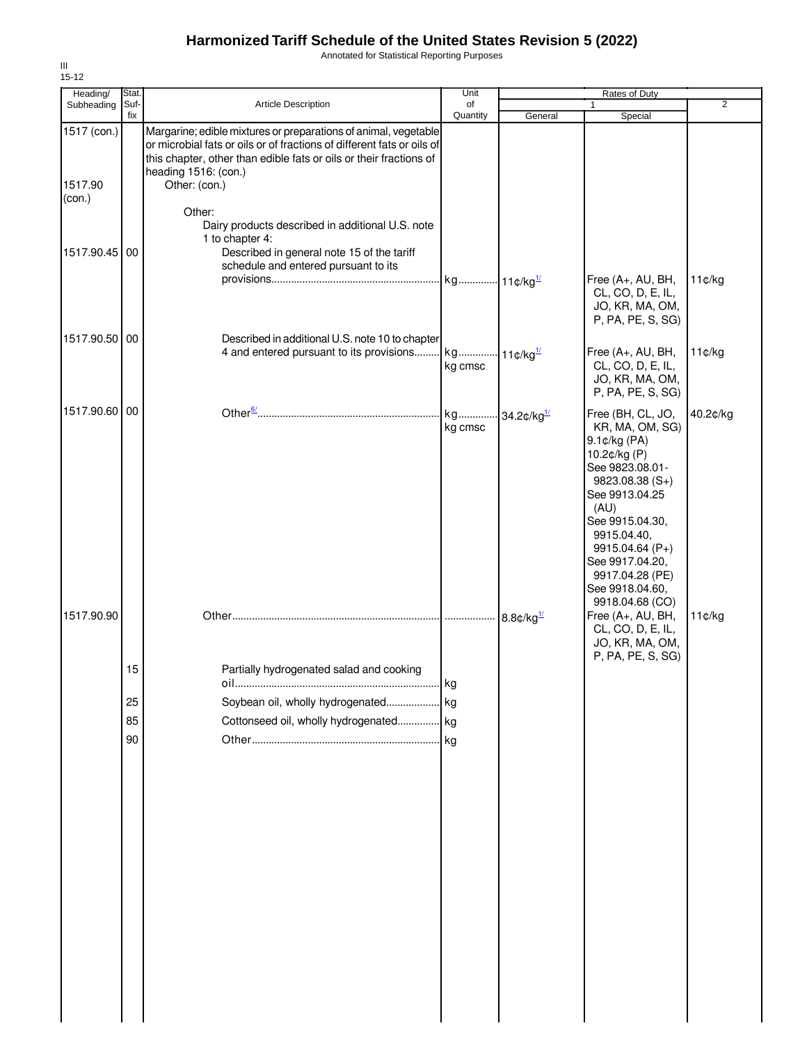Annotated for Statistical Reporting Purposes

| Heading/               | Stat.       |                                                                                                                                                                                                                                                          | Unit                                 |                          | <b>Rates of Duty</b>                                                                                                                                                                                                                                |                |
|------------------------|-------------|----------------------------------------------------------------------------------------------------------------------------------------------------------------------------------------------------------------------------------------------------------|--------------------------------------|--------------------------|-----------------------------------------------------------------------------------------------------------------------------------------------------------------------------------------------------------------------------------------------------|----------------|
| Subheading             | Suf-<br>fix | Article Description                                                                                                                                                                                                                                      | of<br>Quantity                       | General                  | $\mathbf{1}$<br>Special                                                                                                                                                                                                                             | $\overline{2}$ |
| 1517 (con.)<br>1517.90 |             | Margarine; edible mixtures or preparations of animal, vegetable<br>or microbial fats or oils or of fractions of different fats or oils of<br>this chapter, other than edible fats or oils or their fractions of<br>heading 1516: (con.)<br>Other: (con.) |                                      |                          |                                                                                                                                                                                                                                                     |                |
| (con.)                 |             | Other:<br>Dairy products described in additional U.S. note<br>1 to chapter 4:                                                                                                                                                                            |                                      |                          |                                                                                                                                                                                                                                                     |                |
| 1517.90.45 00          |             | Described in general note 15 of the tariff<br>schedule and entered pursuant to its                                                                                                                                                                       |                                      |                          | Free (A+, AU, BH,                                                                                                                                                                                                                                   | 11¢/kg         |
|                        |             |                                                                                                                                                                                                                                                          |                                      |                          | CL, CO, D, E, IL,<br>JO, KR, MA, OM,<br>P, PA, PE, S, SG)                                                                                                                                                                                           |                |
| 1517.90.50 00          |             | Described in additional U.S. note 10 to chapter<br>4 and entered pursuant to its provisions kg 11¢/kg <sup>1/</sup>                                                                                                                                      | kg cmsc                              |                          | Free (A+, AU, BH,<br>CL, CO, D, E, IL,<br>JO, KR, MA, OM,<br>P, PA, PE, S, SG)                                                                                                                                                                      | 11¢/kg         |
| 1517.90.60 00          |             |                                                                                                                                                                                                                                                          | kg 34.2¢/kg <sup>1/</sup><br>kg cmsc |                          | Free (BH, CL, JO,<br>KR, MA, OM, SG)<br>9.1¢/kg (PA)<br>10.2¢/kg (P)<br>See 9823.08.01-<br>$9823.08.38(S+)$<br>See 9913.04.25<br>(AU)<br>See 9915.04.30,<br>9915.04.40,<br>9915.04.64 (P+)<br>See 9917.04.20,<br>9917.04.28 (PE)<br>See 9918.04.60, | 40.2¢/kg       |
| 1517.90.90             |             |                                                                                                                                                                                                                                                          |                                      | $8.8$ ¢/kg $\frac{1}{2}$ | 9918.04.68 (CO)<br>Free (A+, AU, BH,<br>CL, CO, D, E, IL,<br>JO, KR, MA, OM,<br>P, PA, PE, S, SG)                                                                                                                                                   | 11¢/kg         |
|                        | 15          | Partially hydrogenated salad and cooking                                                                                                                                                                                                                 |                                      |                          |                                                                                                                                                                                                                                                     |                |
|                        | 25          | Soybean oil, wholly hydrogenated                                                                                                                                                                                                                         | kg                                   |                          |                                                                                                                                                                                                                                                     |                |
|                        | 85          | Cottonseed oil, wholly hydrogenated kg                                                                                                                                                                                                                   |                                      |                          |                                                                                                                                                                                                                                                     |                |
|                        | 90          |                                                                                                                                                                                                                                                          |                                      |                          |                                                                                                                                                                                                                                                     |                |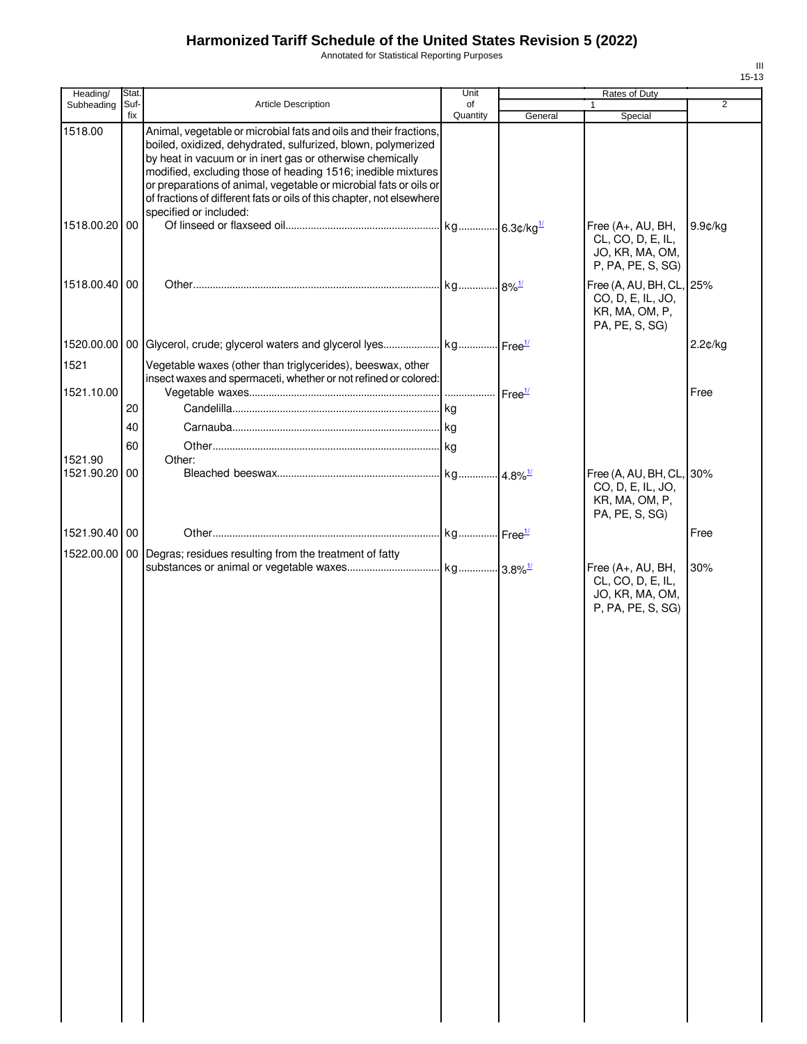Annotated for Statistical Reporting Purposes

| Heading/                 | Stat.       |                                                                                                                                                                                                                                                                                                                                                                                                                                        | Unit           |         | Rates of Duty                                                                     |                |
|--------------------------|-------------|----------------------------------------------------------------------------------------------------------------------------------------------------------------------------------------------------------------------------------------------------------------------------------------------------------------------------------------------------------------------------------------------------------------------------------------|----------------|---------|-----------------------------------------------------------------------------------|----------------|
| Subheading               | Suf-<br>fix | Article Description                                                                                                                                                                                                                                                                                                                                                                                                                    | of<br>Quantity |         |                                                                                   | $\overline{2}$ |
| 1518.00                  |             | Animal, vegetable or microbial fats and oils and their fractions,<br>boiled, oxidized, dehydrated, sulfurized, blown, polymerized<br>by heat in vacuum or in inert gas or otherwise chemically<br>modified, excluding those of heading 1516; inedible mixtures<br>or preparations of animal, vegetable or microbial fats or oils or<br>of fractions of different fats or oils of this chapter, not elsewhere<br>specified or included: |                | General | Special                                                                           |                |
| 1518.00.20 00            |             |                                                                                                                                                                                                                                                                                                                                                                                                                                        |                |         | Free (A+, AU, BH,<br>CL, CO, D, E, IL,<br>JO, KR, MA, OM,<br>P, PA, PE, S, SG)    | 9.9¢/kg        |
| 1518.00.40 00            |             |                                                                                                                                                                                                                                                                                                                                                                                                                                        |                |         | Free (A, AU, BH, CL, 25%<br>CO, D, E, IL, JO,<br>KR, MA, OM, P,<br>PA, PE, S, SG) |                |
|                          |             |                                                                                                                                                                                                                                                                                                                                                                                                                                        |                |         |                                                                                   | 2.2¢/kg        |
| 1521                     |             | Vegetable waxes (other than triglycerides), beeswax, other<br>insect waxes and spermaceti, whether or not refined or colored:                                                                                                                                                                                                                                                                                                          |                |         |                                                                                   |                |
| 1521.10.00               |             |                                                                                                                                                                                                                                                                                                                                                                                                                                        |                |         |                                                                                   | Free           |
|                          | 20          |                                                                                                                                                                                                                                                                                                                                                                                                                                        |                |         |                                                                                   |                |
|                          | 40          |                                                                                                                                                                                                                                                                                                                                                                                                                                        |                |         |                                                                                   |                |
|                          | 60          |                                                                                                                                                                                                                                                                                                                                                                                                                                        |                |         |                                                                                   |                |
| 1521.90<br>1521.90.20 00 |             | Other:                                                                                                                                                                                                                                                                                                                                                                                                                                 |                |         | Free (A, AU, BH, CL, 30%<br>CO, D, E, IL, JO,<br>KR, MA, OM, P,<br>PA, PE, S, SG) |                |
| 1521.90.40 00            |             |                                                                                                                                                                                                                                                                                                                                                                                                                                        |                |         |                                                                                   | Free           |
|                          |             | 1522.00.00   00   Degras; residues resulting from the treatment of fatty                                                                                                                                                                                                                                                                                                                                                               |                |         |                                                                                   |                |
|                          |             |                                                                                                                                                                                                                                                                                                                                                                                                                                        |                |         | Free (A+, AU, BH,<br>CL, CO, D, E, IL,<br>JO, KR, MA, OM,<br>P, PA, PE, S, SG)    | 30%            |